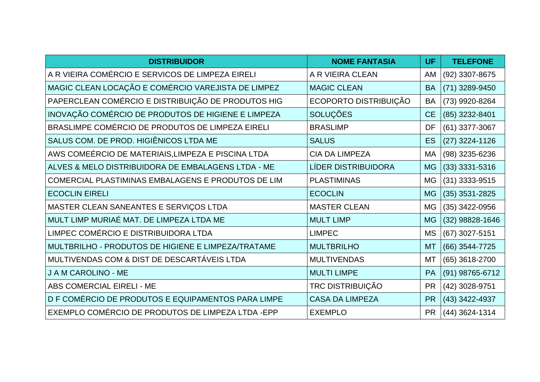| <b>DISTRIBUIDOR</b>                                | <b>NOME FANTASIA</b>   | <b>UF</b> | <b>TELEFONE</b>  |
|----------------------------------------------------|------------------------|-----------|------------------|
| A R VIEIRA COMÉRCIO E SERVICOS DE LIMPEZA EIRELI   | A R VIEIRA CLEAN       | <b>AM</b> | (92) 3307-8675   |
| MAGIC CLEAN LOCAÇÃO E COMÉRCIO VAREJISTA DE LIMPEZ | <b>MAGIC CLEAN</b>     | <b>BA</b> | (71) 3289-9450   |
| PAPERCLEAN COMÉRCIO E DISTRIBUIÇÃO DE PRODUTOS HIG | ECOPORTO DISTRIBUIÇÃO  | <b>BA</b> | (73) 9920-8264   |
| INOVAÇÃO COMÉRCIO DE PRODUTOS DE HIGIENE E LIMPEZA | <b>SOLUÇÕES</b>        | CE        | (85) 3232-8401   |
| BRASLIMPE COMÉRCIO DE PRODUTOS DE LIMPEZA EIRELI   | <b>BRASLIMP</b>        | DF        | $(61)$ 3377-3067 |
| SALUS COM. DE PROD. HIGIÊNICOS LTDA ME             | <b>SALUS</b>           | <b>ES</b> | $(27)$ 3224-1126 |
| AWS COMEÉRCIO DE MATERIAIS, LIMPEZA E PISCINA LTDA | <b>CIA DA LIMPEZA</b>  | MA        | (98) 3235-6236   |
| ALVES & MELO DISTRIBUIDORA DE EMBALAGENS LTDA - ME | LÍDER DISTRIBUIDORA    | <b>MG</b> | $(33)$ 3331-5316 |
| COMERCIAL PLASTIMINAS EMBALAGENS E PRODUTOS DE LIM | <b>PLASTIMINAS</b>     | MG        | $(31)$ 3333-9515 |
| <b>ECOCLIN EIRELI</b>                              | <b>ECOCLIN</b>         | <b>MG</b> | $(35)$ 3531-2825 |
| MASTER CLEAN SANEANTES E SERVIÇOS LTDA             | <b>MASTER CLEAN</b>    | <b>MG</b> | (35) 3422-0956   |
| MULT LIMP MURIAÉ MAT. DE LIMPEZA LTDA ME           | <b>MULT LIMP</b>       | <b>MG</b> | (32) 98828-1646  |
| LIMPEC COMÉRCIO E DISTRIBUIDORA LTDA               | <b>LIMPEC</b>          | <b>MS</b> | (67) 3027-5151   |
| MULTBRILHO - PRODUTOS DE HIGIENE E LIMPEZA/TRATAME | <b>MULTBRILHO</b>      | <b>MT</b> | (66) 3544-7725   |
| MULTIVENDAS COM & DIST DE DESCARTÁVEIS LTDA        | <b>MULTIVENDAS</b>     | MT        | (65) 3618-2700   |
| J A M CAROLINO - ME                                | <b>MULTI LIMPE</b>     | PA        | (91) 98765-6712  |
| ABS COMERCIAL EIRELI - ME                          | TRC DISTRIBUIÇÃO       | <b>PR</b> | (42) 3028-9751   |
| D F COMÉRCIO DE PRODUTOS E EQUIPAMENTOS PARA LIMPE | <b>CASA DA LIMPEZA</b> | <b>PR</b> | (43) 3422-4937   |
| EXEMPLO COMÉRCIO DE PRODUTOS DE LIMPEZA LTDA -EPP  | <b>EXEMPLO</b>         | <b>PR</b> | (44) 3624-1314   |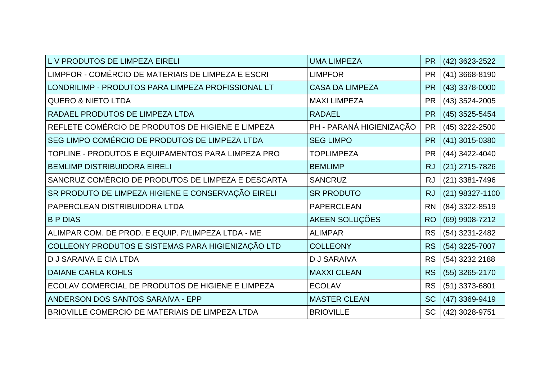| L V PRODUTOS DE LIMPEZA EIRELI                     | <b>UMA LIMPEZA</b>       | <b>PR</b> | (42) 3623-2522    |
|----------------------------------------------------|--------------------------|-----------|-------------------|
| LIMPFOR - COMÉRCIO DE MATERIAIS DE LIMPEZA E ESCRI | <b>LIMPFOR</b>           | <b>PR</b> | $(41)$ 3668-8190  |
| LONDRILIMP - PRODUTOS PARA LIMPEZA PROFISSIONAL LT | <b>CASA DA LIMPEZA</b>   | <b>PR</b> | (43) 3378-0000    |
| <b>QUERO &amp; NIETO LTDA</b>                      | <b>MAXI LIMPEZA</b>      | <b>PR</b> | (43) 3524-2005    |
| RADAEL PRODUTOS DE LIMPEZA LTDA                    | <b>RADAEL</b>            | <b>PR</b> | (45) 3525-5454    |
| REFLETE COMÉRCIO DE PRODUTOS DE HIGIENE E LIMPEZA  | PH - PARANÁ HIGIENIZAÇÃO | <b>PR</b> | (45) 3222-2500    |
| SEG LIMPO COMÉRCIO DE PRODUTOS DE LIMPEZA LTDA     | <b>SEG LIMPO</b>         | <b>PR</b> | (41) 3015-0380    |
| TOPLINE - PRODUTOS E EQUIPAMENTOS PARA LIMPEZA PRO | <b>TOPLIMPEZA</b>        | <b>PR</b> | (44) 3422-4040    |
| <b>BEMLIMP DISTRIBUIDORA EIRELI</b>                | <b>BEMLIMP</b>           | <b>RJ</b> | $(21)$ 2715-7826  |
| SANCRUZ COMÉRCIO DE PRODUTOS DE LIMPEZA E DESCARTA | <b>SANCRUZ</b>           | <b>RJ</b> | $(21)$ 3381-7496  |
| SR PRODUTO DE LIMPEZA HIGIENE E CONSERVAÇÃO EIRELI | <b>SR PRODUTO</b>        | <b>RJ</b> | $(21)$ 98327-1100 |
| PAPERCLEAN DISTRIBUIDORA LTDA                      | <b>PAPERCLEAN</b>        | <b>RN</b> | (84) 3322-8519    |
| <b>BPDIAS</b>                                      | AKEEN SOLUÇÕES           | <b>RO</b> | (69) 9908-7212    |
| ALIMPAR COM. DE PROD. E EQUIP. P/LIMPEZA LTDA - ME | <b>ALIMPAR</b>           | <b>RS</b> | (54) 3231-2482    |
| COLLEONY PRODUTOS E SISTEMAS PARA HIGIENIZAÇÃO LTD | <b>COLLEONY</b>          | <b>RS</b> | (54) 3225-7007    |
| D J SARAIVA E CIA LTDA                             | <b>DJ SARAIVA</b>        | <b>RS</b> | (54) 3232 2188    |
| <b>DAIANE CARLA KOHLS</b>                          | <b>MAXXI CLEAN</b>       | <b>RS</b> | (55) 3265-2170    |
| ECOLAV COMERCIAL DE PRODUTOS DE HIGIENE E LIMPEZA  | <b>ECOLAV</b>            | <b>RS</b> | $(51)$ 3373-6801  |
| ANDERSON DOS SANTOS SARAIVA - EPP                  | <b>MASTER CLEAN</b>      | <b>SC</b> | (47) 3369-9419    |
| BRIOVILLE COMERCIO DE MATERIAIS DE LIMPEZA LTDA    | <b>BRIOVILLE</b>         | <b>SC</b> | (42) 3028-9751    |